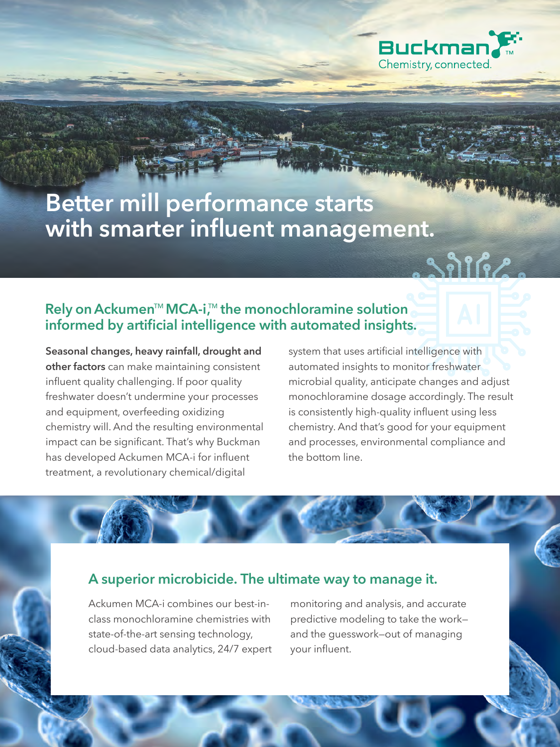

# **Better mill performance starts with smarter influent management.**

#### Rely on Ackumen<sup>™</sup> MCA-i<sup>™</sup> the monochloramine solution **informed by artificial intelligence with automated insights.**

**Seasonal changes, heavy rainfall, drought and other factors** can make maintaining consistent influent quality challenging. If poor quality freshwater doesn't undermine your processes and equipment, overfeeding oxidizing chemistry will. And the resulting environmental impact can be significant. That's why Buckman has developed Ackumen MCA-i for influent treatment, a revolutionary chemical/digital

system that uses artificial intelligence with automated insights to monitor freshwater microbial quality, anticipate changes and adjust monochloramine dosage accordingly. The result is consistently high-quality influent using less chemistry. And that's good for your equipment and processes, environmental compliance and the bottom line.

#### **A superior microbicide. The ultimate way to manage it.**

Ackumen MCA-i combines our best-inclass monochloramine chemistries with state-of-the-art sensing technology, cloud-based data analytics, 24/7 expert

monitoring and analysis, and accurate predictive modeling to take the work and the guesswork—out of managing your influent.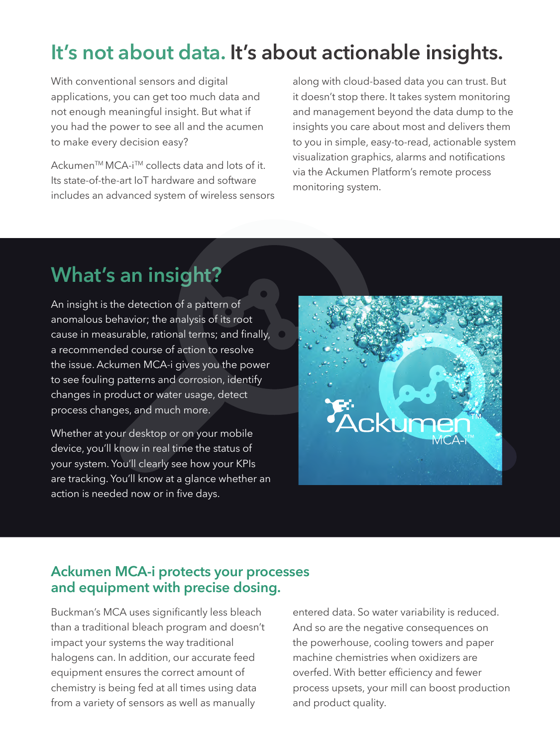# **It's not about data. It's about actionable insights.**

With conventional sensors and digital applications, you can get too much data and not enough meaningful insight. But what if you had the power to see all and the acumen to make every decision easy?

Ackumen<sup>™</sup> MCA-i<sup>™</sup> collects data and lots of it. Its state-of-the-art IoT hardware and software includes an advanced system of wireless sensors along with cloud-based data you can trust. But it doesn't stop there. It takes system monitoring and management beyond the data dump to the insights you care about most and delivers them to you in simple, easy-to-read, actionable system visualization graphics, alarms and notifications via the Ackumen Platform's remote process monitoring system.

## **What's an insight?**

An insight is the detection of a pattern of anomalous behavior; the analysis of its root cause in measurable, rational terms; and finally, a recommended course of action to resolve the issue. Ackumen MCA-i gives you the power to see fouling patterns and corrosion, identify changes in product or water usage, detect process changes, and much more.

Whether at your desktop or on your mobile device, you'll know in real time the status of your system. You'll clearly see how your KPIs are tracking. You'll know at a glance whether an action is needed now or in five days.



#### **Ackumen MCA-i protects your processes and equipment with precise dosing.**

Buckman's MCA uses significantly less bleach than a traditional bleach program and doesn't impact your systems the way traditional halogens can. In addition, our accurate feed equipment ensures the correct amount of chemistry is being fed at all times using data from a variety of sensors as well as manually

entered data. So water variability is reduced. And so are the negative consequences on the powerhouse, cooling towers and paper machine chemistries when oxidizers are overfed. With better efficiency and fewer process upsets, your mill can boost production and product quality.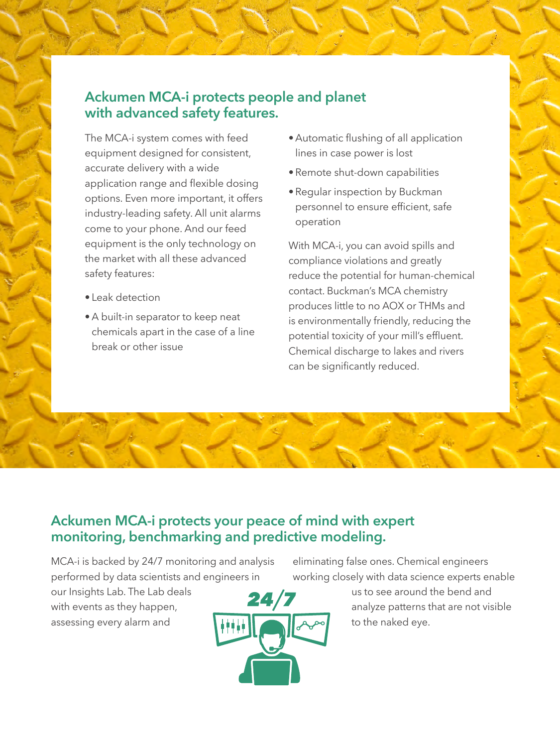#### **Ackumen MCA-i protects people and planet with advanced safety features.**

The MCA-i system comes with feed equipment designed for consistent, accurate delivery with a wide application range and flexible dosing options. Even more important, it offers industry-leading safety. All unit alarms come to your phone. And our feed equipment is the only technology on the market with all these advanced safety features:

- Leak detection
- A built-in separator to keep neat chemicals apart in the case of a line break or other issue
- Automatic flushing of all application lines in case power is lost
- Remote shut-down capabilities
- Regular inspection by Buckman personnel to ensure efficient, safe operation

With MCA-i, you can avoid spills and compliance violations and greatly reduce the potential for human-chemical contact. Buckman's MCA chemistry produces little to no AOX or THMs and is environmentally friendly, reducing the potential toxicity of your mill's effluent. Chemical discharge to lakes and rivers can be significantly reduced.

#### **Ackumen MCA-i protects your peace of mind with expert monitoring, benchmarking and predictive modeling.**

MCA-i is backed by 24/7 monitoring and analysis performed by data scientists and engineers in

our Insights Lab. The Lab deals with events as they happen, assessing every alarm and



eliminating false ones. Chemical engineers working closely with data science experts enable

> us to see around the bend and analyze patterns that are not visible to the naked eye.